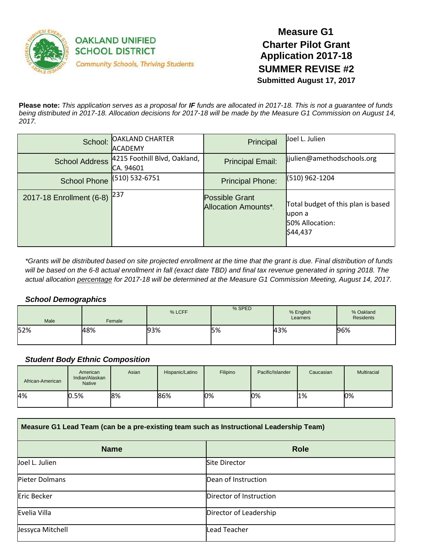

# **Measure G1 Charter Pilot Grant Application 2017-18 SUMMER REVISE #2 Submitted August 17, 2017**

**Please note:** *This application serves as a proposal for IF funds are allocated in 2017-18. This is not a guarantee of funds being distributed in 2017-18. Allocation decisions for 2017-18 will be made by the Measure G1 Commission on August 14, 2017.*

| School:                  | <b>OAKLAND CHARTER</b><br>IACADEMY        | Principal                                     | Joel L. Julien                                                               |
|--------------------------|-------------------------------------------|-----------------------------------------------|------------------------------------------------------------------------------|
| <b>School Address</b>    | 4215 Foothill Blvd, Oakland,<br>CA. 94601 | <b>Principal Email:</b>                       | lijulien@amethodschools.org                                                  |
| <b>School Phone</b>      | $(510) 532-6751$                          | <b>Principal Phone:</b>                       | (510) 962-1204                                                               |
| 2017-18 Enrollment (6-8) | 1237                                      | <b>Possible Grant</b><br>Allocation Amounts*. | Total budget of this plan is based<br>lupon a<br>50% Allocation:<br>\$44,437 |

*\*Grants will be distributed based on site projected enrollment at the time that the grant is due. Final distribution of funds* will be based on the 6-8 actual enrollment in fall (exact date TBD) and final tax revenue generated in spring 2018. The *actual allocation percentage for 2017-18 will be determined at the Measure G1 Commission Meeting, August 14, 2017.*

#### *School Demographics*

| Male | Female | % LCFF | % SPED | % English<br>Learners | % Oakland<br><b>Residents</b> |
|------|--------|--------|--------|-----------------------|-------------------------------|
| 52%  | 48%    | 93%    | 15%    | 43%                   | 96%                           |

### *Student Body Ethnic Composition*

| African-American | American<br>Indian/Alaskan<br><b>Native</b> | Asian | Hispanic/Latino | Filipino | Pacific/Islander | Caucasian | <b>Multiracial</b> |
|------------------|---------------------------------------------|-------|-----------------|----------|------------------|-----------|--------------------|
| 4%               | 0.5%                                        | 8%    | 86%             | 0%       | 0%               | 1%        | 0%                 |

| Measure G1 Lead Team (can be a pre-existing team such as Instructional Leadership Team) |                         |  |  |
|-----------------------------------------------------------------------------------------|-------------------------|--|--|
| <b>Name</b>                                                                             | <b>Role</b>             |  |  |
| Joel L. Julien                                                                          | <b>Site Director</b>    |  |  |
| Pieter Dolmans                                                                          | Dean of Instruction     |  |  |
| Eric Becker                                                                             | Director of Instruction |  |  |
| Evelia Villa                                                                            | Director of Leadership  |  |  |
| Jessyca Mitchell                                                                        | <b>Lead Teacher</b>     |  |  |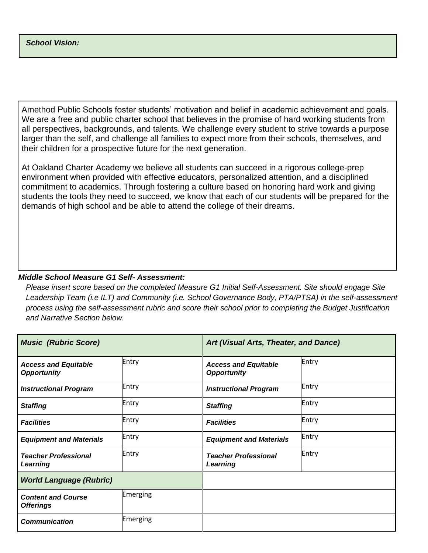Amethod Public Schools foster students' motivation and belief in academic achievement and goals. We are a free and public charter school that believes in the promise of hard working students from all perspectives, backgrounds, and talents. We challenge every student to strive towards a purpose larger than the self, and challenge all families to expect more from their schools, themselves, and their children for a prospective future for the next generation.

At Oakland Charter Academy we believe all students can succeed in a rigorous college-prep environment when provided with effective educators, personalized attention, and a disciplined commitment to academics. Through fostering a culture based on honoring hard work and giving students the tools they need to succeed, we know that each of our students will be prepared for the demands of high school and be able to attend the college of their dreams.

# *Middle School Measure G1 Self- Assessment:*

*Please insert score based on the completed Measure G1 Initial Self-Assessment. Site should engage Site Leadership Team (i.e ILT) and Community (i.e. School Governance Body, PTA/PTSA) in the self-assessment process using the self-assessment rubric and score their school prior to completing the Budget Justification and Narrative Section below.*

| <b>Music (Rubric Score)</b>                       |          | Art (Visual Arts, Theater, and Dance)             |       |  |
|---------------------------------------------------|----------|---------------------------------------------------|-------|--|
| <b>Access and Equitable</b><br><b>Opportunity</b> | Entry    | <b>Access and Equitable</b><br><b>Opportunity</b> | Entry |  |
| <b>Instructional Program</b>                      | Entry    | <b>Instructional Program</b>                      | Entry |  |
| <b>Staffing</b>                                   | Entry    | <b>Staffing</b>                                   | Entry |  |
| <b>Facilities</b>                                 | Entry    | <b>Facilities</b>                                 | Entry |  |
| <b>Equipment and Materials</b>                    | Entry    | <b>Equipment and Materials</b>                    | Entry |  |
| <b>Teacher Professional</b><br>Learning           | Entry    | <b>Teacher Professional</b><br>Learning           | Entry |  |
| <b>World Language (Rubric)</b>                    |          |                                                   |       |  |
| <b>Content and Course</b><br><b>Offerings</b>     | Emerging |                                                   |       |  |
| <b>Communication</b>                              | Emerging |                                                   |       |  |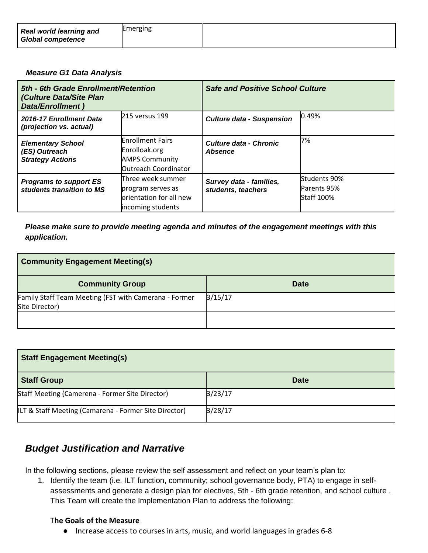| <b>Real world learning and</b><br><b>Global competence</b> | Emerging |  |
|------------------------------------------------------------|----------|--|
|------------------------------------------------------------|----------|--|

#### *Measure G1 Data Analysis*

| 5th - 6th Grade Enrollment/Retention<br>(Culture Data/Site Plan<br>Data/Enrollment) |                                                                                                | <b>Safe and Positive School Culture</b>         |                                                  |
|-------------------------------------------------------------------------------------|------------------------------------------------------------------------------------------------|-------------------------------------------------|--------------------------------------------------|
| 2016-17 Enrollment Data<br>(projection vs. actual)                                  | 215 versus 199                                                                                 | <b>Culture data - Suspension</b>                | 0.49%                                            |
| <b>Elementary School</b><br>(ES) Outreach<br><b>Strategy Actions</b>                | <b>Enrollment Fairs</b><br>Enrolloak.org<br><b>AMPS Community</b><br>Outreach Coordinator      | <b>Culture data - Chronic</b><br><b>Absence</b> | 7%                                               |
| <b>Programs to support ES</b><br>students transition to MS                          | <b>Three week summer</b><br>program serves as<br>lorientation for all new<br>incoming students | Survey data - families,<br>students, teachers   | Students 90%<br>Parents 95%<br><b>Staff 100%</b> |

## *Please make sure to provide meeting agenda and minutes of the engagement meetings with this application.*

| <b>Community Engagement Meeting(s)</b>                                  |             |  |
|-------------------------------------------------------------------------|-------------|--|
| <b>Community Group</b>                                                  | <b>Date</b> |  |
| Family Staff Team Meeting (FST with Camerana - Former<br>Site Director) | 3/15/17     |  |
|                                                                         |             |  |

| <b>Staff Engagement Meeting(s)</b>                    |             |
|-------------------------------------------------------|-------------|
| <b>Staff Group</b>                                    | <b>Date</b> |
| Staff Meeting (Camerena - Former Site Director)       | 3/23/17     |
| ILT & Staff Meeting (Camarena - Former Site Director) | 3/28/17     |

# *Budget Justification and Narrative*

In the following sections, please review the self assessment and reflect on your team's plan to:

1. Identify the team (i.e. ILT function, community; school governance body, PTA) to engage in selfassessments and generate a design plan for electives, 5th - 6th grade retention, and school culture . This Team will create the Implementation Plan to address the following:

#### T**he Goals of the Measure**

● Increase access to courses in arts, music, and world languages in grades 6-8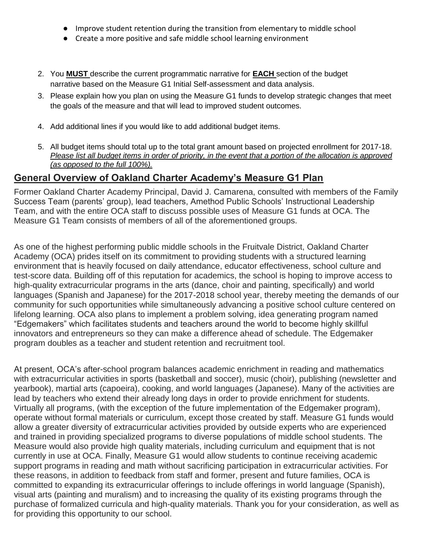- Improve student retention during the transition from elementary to middle school
- Create a more positive and safe middle school learning environment
- 2. You **MUST** describe the current programmatic narrative for **EACH** section of the budget narrative based on the Measure G1 Initial Self-assessment and data analysis.
- 3. Please explain how you plan on using the Measure G1 funds to develop strategic changes that meet the goals of the measure and that will lead to improved student outcomes.
- 4. Add additional lines if you would like to add additional budget items.
- 5. All budget items should total up to the total grant amount based on projected enrollment for 2017-18. *Please list all budget items in order of priority, in the event that a portion of the allocation is approved (as opposed to the full 100%).*

# **General Overview of Oakland Charter Academy's Measure G1 Plan**

Former Oakland Charter Academy Principal, David J. Camarena, consulted with members of the Family Success Team (parents' group), lead teachers, Amethod Public Schools' Instructional Leadership Team, and with the entire OCA staff to discuss possible uses of Measure G1 funds at OCA. The Measure G1 Team consists of members of all of the aforementioned groups.

As one of the highest performing public middle schools in the Fruitvale District, Oakland Charter Academy (OCA) prides itself on its commitment to providing students with a structured learning environment that is heavily focused on daily attendance, educator effectiveness, school culture and test-score data. Building off of this reputation for academics, the school is hoping to improve access to high-quality extracurricular programs in the arts (dance, choir and painting, specifically) and world languages (Spanish and Japanese) for the 2017-2018 school year, thereby meeting the demands of our community for such opportunities while simultaneously advancing a positive school culture centered on lifelong learning. OCA also plans to implement a problem solving, idea generating program named "Edgemakers" which facilitates students and teachers around the world to become highly skillful innovators and entrepreneurs so they can make a difference ahead of schedule. The Edgemaker program doubles as a teacher and student retention and recruitment tool.

At present, OCA's after-school program balances academic enrichment in reading and mathematics with extracurricular activities in sports (basketball and soccer), music (choir), publishing (newsletter and yearbook), martial arts (capoeira), cooking, and world languages (Japanese). Many of the activities are lead by teachers who extend their already long days in order to provide enrichment for students. Virtually all programs, (with the exception of the future implementation of the Edgemaker program), operate without formal materials or curriculum, except those created by staff. Measure G1 funds would allow a greater diversity of extracurricular activities provided by outside experts who are experienced and trained in providing specialized programs to diverse populations of middle school students. The Measure would also provide high quality materials, including curriculum and equipment that is not currently in use at OCA. Finally, Measure G1 would allow students to continue receiving academic support programs in reading and math without sacrificing participation in extracurricular activities. For these reasons, in addition to feedback from staff and former, present and future families, OCA is committed to expanding its extracurricular offerings to include offerings in world language (Spanish), visual arts (painting and muralism) and to increasing the quality of its existing programs through the purchase of formalized curricula and high-quality materials. Thank you for your consideration, as well as for providing this opportunity to our school.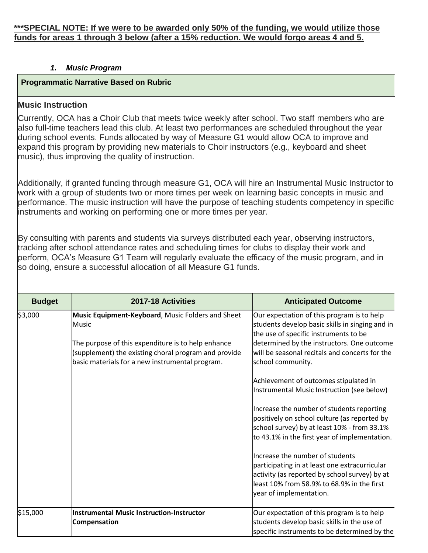# *1. Music Program*

# **Programmatic Narrative Based on Rubric**

# **Music Instruction**

Currently, OCA has a Choir Club that meets twice weekly after school. Two staff members who are also full-time teachers lead this club. At least two performances are scheduled throughout the year during school events. Funds allocated by way of Measure G1 would allow OCA to improve and expand this program by providing new materials to Choir instructors (e.g., keyboard and sheet music), thus improving the quality of instruction.

Additionally, if granted funding through measure G1, OCA will hire an Instrumental Music Instructor to work with a group of students two or more times per week on learning basic concepts in music and performance. The music instruction will have the purpose of teaching students competency in specific instruments and working on performing one or more times per year.

By consulting with parents and students via surveys distributed each year, observing instructors, tracking after school attendance rates and scheduling times for clubs to display their work and perform, OCA's Measure G1 Team will regularly evaluate the efficacy of the music program, and in so doing, ensure a successful allocation of all Measure G1 funds.

| <b>Budget</b> | 2017-18 Activities                                                                                                                                                                                                          | <b>Anticipated Outcome</b>                                                                                                                                                                                                                                                                                                                                                                                                                                                                                                                                                                                                                                                                                                                                    |
|---------------|-----------------------------------------------------------------------------------------------------------------------------------------------------------------------------------------------------------------------------|---------------------------------------------------------------------------------------------------------------------------------------------------------------------------------------------------------------------------------------------------------------------------------------------------------------------------------------------------------------------------------------------------------------------------------------------------------------------------------------------------------------------------------------------------------------------------------------------------------------------------------------------------------------------------------------------------------------------------------------------------------------|
| \$3,000       | Music Equipment-Keyboard, Music Folders and Sheet<br>Music<br>The purpose of this expenditure is to help enhance<br>(supplement) the existing choral program and provide<br>basic materials for a new instrumental program. | Our expectation of this program is to help<br>students develop basic skills in singing and in<br>the use of specific instruments to be<br>determined by the instructors. One outcome<br>will be seasonal recitals and concerts for the<br>school community.<br>Achievement of outcomes stipulated in<br>Instrumental Music Instruction (see below)<br>Increase the number of students reporting<br>positively on school culture (as reported by<br>school survey) by at least 10% - from 33.1%<br>to 43.1% in the first year of implementation.<br>Increase the number of students<br>participating in at least one extracurricular<br>activity (as reported by school survey) by at<br>least 10% from 58.9% to 68.9% in the first<br>year of implementation. |
| \$15,000      | <b>Instrumental Music Instruction-Instructor</b><br><b>Compensation</b>                                                                                                                                                     | Our expectation of this program is to help<br>students develop basic skills in the use of<br>specific instruments to be determined by the                                                                                                                                                                                                                                                                                                                                                                                                                                                                                                                                                                                                                     |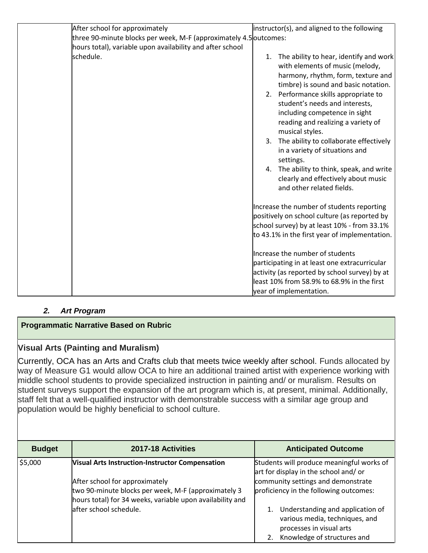| After school for approximately                                    |    | instructor(s), and aligned to the following                                                                                                                                                                   |
|-------------------------------------------------------------------|----|---------------------------------------------------------------------------------------------------------------------------------------------------------------------------------------------------------------|
| three 90-minute blocks per week, M-F (approximately 4.5 outcomes: |    |                                                                                                                                                                                                               |
| hours total), variable upon availability and after school         |    |                                                                                                                                                                                                               |
| schedule.                                                         | 1. | The ability to hear, identify and work<br>with elements of music (melody,<br>harmony, rhythm, form, texture and<br>timbre) is sound and basic notation.                                                       |
|                                                                   |    | 2. Performance skills appropriate to<br>student's needs and interests,<br>including competence in sight<br>reading and realizing a variety of<br>musical styles.<br>3. The ability to collaborate effectively |
|                                                                   |    | in a variety of situations and<br>settings.                                                                                                                                                                   |
|                                                                   |    | 4. The ability to think, speak, and write<br>clearly and effectively about music<br>and other related fields.                                                                                                 |
|                                                                   |    | Increase the number of students reporting                                                                                                                                                                     |
|                                                                   |    | positively on school culture (as reported by                                                                                                                                                                  |
|                                                                   |    | school survey) by at least 10% - from 33.1%                                                                                                                                                                   |
|                                                                   |    | to 43.1% in the first year of implementation.                                                                                                                                                                 |
|                                                                   |    | Increase the number of students                                                                                                                                                                               |
|                                                                   |    | participating in at least one extracurricular                                                                                                                                                                 |
|                                                                   |    | activity (as reported by school survey) by at                                                                                                                                                                 |
|                                                                   |    | least 10% from 58.9% to 68.9% in the first                                                                                                                                                                    |
|                                                                   |    | year of implementation.                                                                                                                                                                                       |

# *2. Art Program*

# **Programmatic Narrative Based on Rubric**

# **Visual Arts (Painting and Muralism)**

Currently, OCA has an Arts and Crafts club that meets twice weekly after school. Funds allocated by way of Measure G1 would allow OCA to hire an additional trained artist with experience working with middle school students to provide specialized instruction in painting and/ or muralism. Results on student surveys support the expansion of the art program which is, at present, minimal. Additionally, staff felt that a well-qualified instructor with demonstrable success with a similar age group and population would be highly beneficial to school culture.

| <b>Budget</b> | 2017-18 Activities                                                                                                                                 | <b>Anticipated Outcome</b>                                                                                                    |
|---------------|----------------------------------------------------------------------------------------------------------------------------------------------------|-------------------------------------------------------------------------------------------------------------------------------|
| \$5,000       | Visual Arts Instruction-Instructor Compensation                                                                                                    | Students will produce meaningful works of<br>art for display in the school and/ or                                            |
|               | After school for approximately<br>two 90-minute blocks per week, M-F (approximately 3<br>hours total) for 34 weeks, variable upon availability and | community settings and demonstrate<br>proficiency in the following outcomes:                                                  |
|               | after school schedule.                                                                                                                             | Understanding and application of<br>various media, techniques, and<br>processes in visual arts<br>Knowledge of structures and |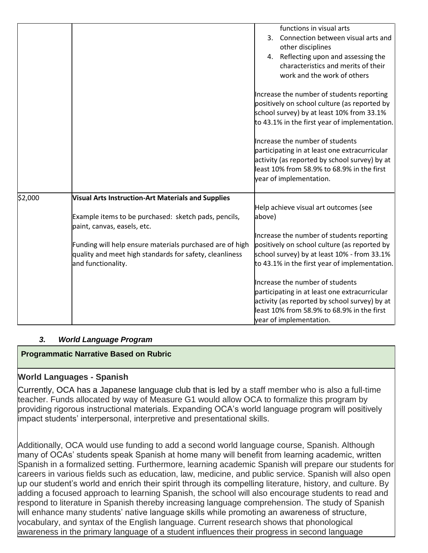|         |                                                                                                                                           | functions in visual arts<br>Connection between visual arts and<br>$\mathbf{3}$ .<br>other disciplines<br>4. Reflecting upon and assessing the<br>characteristics and merits of their                                                                                                                                                                                                                                                 |
|---------|-------------------------------------------------------------------------------------------------------------------------------------------|--------------------------------------------------------------------------------------------------------------------------------------------------------------------------------------------------------------------------------------------------------------------------------------------------------------------------------------------------------------------------------------------------------------------------------------|
|         |                                                                                                                                           | work and the work of others<br>Increase the number of students reporting<br>positively on school culture (as reported by<br>school survey) by at least 10% from 33.1%<br>to 43.1% in the first year of implementation.<br>Increase the number of students<br>participating in at least one extracurricular<br>activity (as reported by school survey) by at<br>least 10% from 58.9% to 68.9% in the first<br>year of implementation. |
| \$2,000 | Visual Arts Instruction-Art Materials and Supplies                                                                                        | Help achieve visual art outcomes (see                                                                                                                                                                                                                                                                                                                                                                                                |
|         | Example items to be purchased: sketch pads, pencils,<br>paint, canvas, easels, etc.                                                       | above)                                                                                                                                                                                                                                                                                                                                                                                                                               |
|         | Funding will help ensure materials purchased are of high<br>quality and meet high standards for safety, cleanliness<br>and functionality. | Increase the number of students reporting<br>positively on school culture (as reported by<br>school survey) by at least 10% - from 33.1%<br>to 43.1% in the first year of implementation.                                                                                                                                                                                                                                            |
|         |                                                                                                                                           | Increase the number of students<br>participating in at least one extracurricular<br>activity (as reported by school survey) by at<br>least 10% from 58.9% to 68.9% in the first<br>year of implementation.                                                                                                                                                                                                                           |

# *3. World Language Program*

# **Programmatic Narrative Based on Rubric**

# **World Languages - Spanish**

Currently, OCA has a Japanese language club that is led by a staff member who is also a full-time teacher. Funds allocated by way of Measure G1 would allow OCA to formalize this program by providing rigorous instructional materials. Expanding OCA's world language program will positively impact students' interpersonal, interpretive and presentational skills.

Additionally, OCA would use funding to add a second world language course, Spanish. Although many of OCAs' students speak Spanish at home many will benefit from learning academic, written Spanish in a formalized setting. Furthermore, learning academic Spanish will prepare our students for careers in various fields such as education, law, medicine, and public service. Spanish will also open up our student's world and enrich their spirit through its compelling literature, history, and culture. By adding a focused approach to learning Spanish, the school will also encourage students to read and respond to literature in Spanish thereby increasing language comprehension. The study of Spanish will enhance many students' native language skills while promoting an awareness of structure, vocabulary, and syntax of the English language. Current research shows that phonological awareness in the primary language of a student influences their progress in second language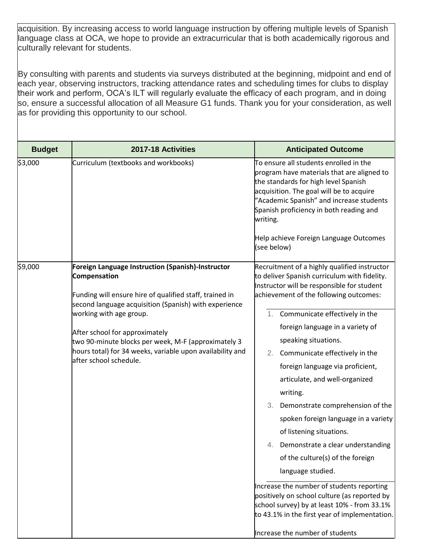acquisition. By increasing access to world language instruction by offering multiple levels of Spanish language class at OCA, we hope to provide an extracurricular that is both academically rigorous and culturally relevant for students.

By consulting with parents and students via surveys distributed at the beginning, midpoint and end of each year, observing instructors, tracking attendance rates and scheduling times for clubs to display their work and perform, OCA's ILT will regularly evaluate the efficacy of each program, and in doing so, ensure a successful allocation of all Measure G1 funds. Thank you for your consideration, as well as for providing this opportunity to our school.

| <b>Budget</b> | 2017-18 Activities                                                                                                                                                                                                                                                                                                                                                                               | <b>Anticipated Outcome</b>                                                                                                                                                                                                                                                                                                                                                                                                                                                                                                                                                                                                                                                                                                                                                 |
|---------------|--------------------------------------------------------------------------------------------------------------------------------------------------------------------------------------------------------------------------------------------------------------------------------------------------------------------------------------------------------------------------------------------------|----------------------------------------------------------------------------------------------------------------------------------------------------------------------------------------------------------------------------------------------------------------------------------------------------------------------------------------------------------------------------------------------------------------------------------------------------------------------------------------------------------------------------------------------------------------------------------------------------------------------------------------------------------------------------------------------------------------------------------------------------------------------------|
| \$3,000       | Curriculum (textbooks and workbooks)                                                                                                                                                                                                                                                                                                                                                             | To ensure all students enrolled in the<br>program have materials that are aligned to<br>the standards for high level Spanish<br>acquisition. The goal will be to acquire<br>"Academic Spanish" and increase students<br>Spanish proficiency in both reading and<br>writing.<br>Help achieve Foreign Language Outcomes<br>(see below)                                                                                                                                                                                                                                                                                                                                                                                                                                       |
| \$9,000       | Foreign Language Instruction (Spanish)-Instructor<br>Compensation<br>Funding will ensure hire of qualified staff, trained in<br>second language acquisition (Spanish) with experience<br>working with age group.<br>After school for approximately<br>two 90-minute blocks per week, M-F (approximately 3<br>hours total) for 34 weeks, variable upon availability and<br>after school schedule. | Recruitment of a highly qualified instructor<br>to deliver Spanish curriculum with fidelity.<br>Instructor will be responsible for student<br>achievement of the following outcomes:<br>1. Communicate effectively in the<br>foreign language in a variety of<br>speaking situations.<br>Communicate effectively in the<br>2.<br>foreign language via proficient,<br>articulate, and well-organized<br>writing.<br>Demonstrate comprehension of the<br>3.<br>spoken foreign language in a variety<br>of listening situations.<br>4. Demonstrate a clear understanding<br>of the culture(s) of the foreign<br>language studied.<br>Increase the number of students reporting<br>positively on school culture (as reported by<br>school survey) by at least 10% - from 33.1% |
|               |                                                                                                                                                                                                                                                                                                                                                                                                  | to 43.1% in the first year of implementation.<br>Increase the number of students                                                                                                                                                                                                                                                                                                                                                                                                                                                                                                                                                                                                                                                                                           |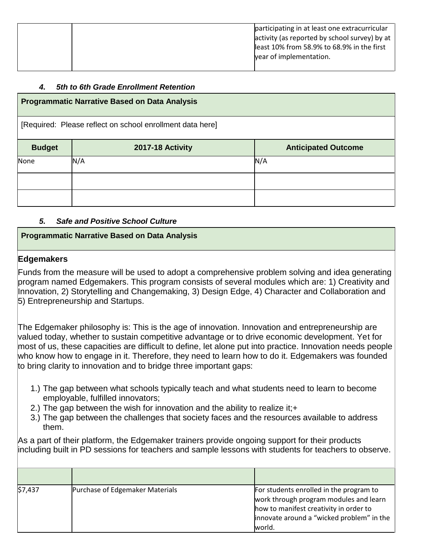|  | participating in at least one extracurricular<br>activity (as reported by school survey) by at<br>least 10% from 58.9% to 68.9% in the first<br>year of implementation. |
|--|-------------------------------------------------------------------------------------------------------------------------------------------------------------------------|
|--|-------------------------------------------------------------------------------------------------------------------------------------------------------------------------|

# *4. 5th to 6th Grade Enrollment Retention*

# **Programmatic Narrative Based on Data Analysis** [Required: Please reflect on school enrollment data here] **Budget 2017-18 Activity Anticipated Outcome** None N/A N/A

# *5. Safe and Positive School Culture*

# **Programmatic Narrative Based on Data Analysis**

# **Edgemakers**

Funds from the measure will be used to adopt a comprehensive problem solving and idea generating program named Edgemakers. This program consists of several modules which are: 1) Creativity and Innovation, 2) Storytelling and Changemaking, 3) Design Edge, 4) Character and Collaboration and 5) Entrepreneurship and Startups.

The Edgemaker philosophy is: This is the age of innovation. Innovation and entrepreneurship are valued today, whether to sustain competitive advantage or to drive economic development. Yet for most of us, these capacities are difficult to define, let alone put into practice. Innovation needs people who know how to engage in it. Therefore, they need to learn how to do it. Edgemakers was founded to bring clarity to innovation and to bridge three important gaps:

- 1.) The gap between what schools typically teach and what students need to learn to become employable, fulfilled innovators;
- 2.) The gap between the wish for innovation and the ability to realize it:+
- 3.) The gap between the challenges that society faces and the resources available to address them.

As a part of their platform, the Edgemaker trainers provide ongoing support for their products including built in PD sessions for teachers and sample lessons with students for teachers to observe.

| \$7,437 | Purchase of Edgemaker Materials | For students enrolled in the program to<br>work through program modules and learn<br>how to manifest creativity in order to<br>innovate around a "wicked problem" in the<br>world. |
|---------|---------------------------------|------------------------------------------------------------------------------------------------------------------------------------------------------------------------------------|